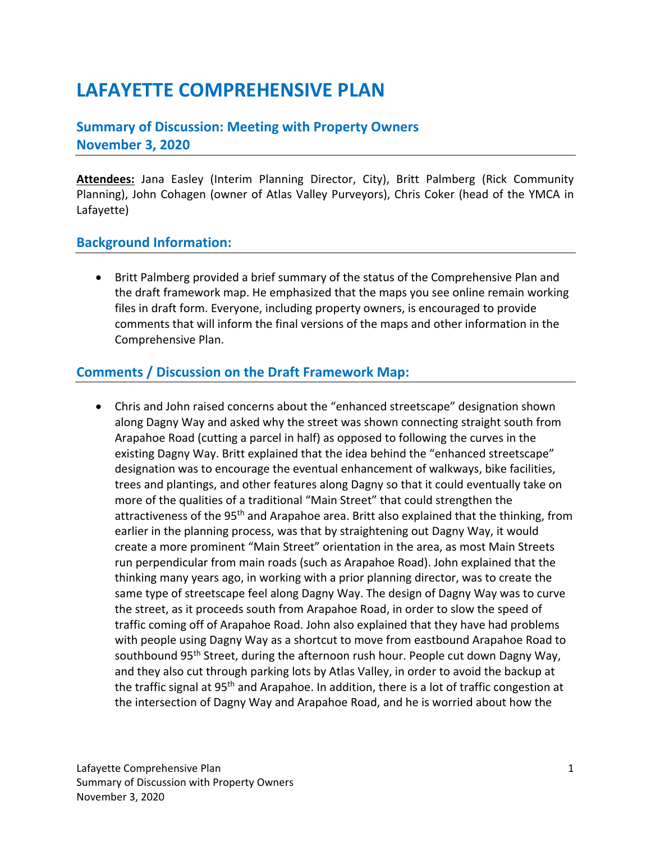## **LAFAYETTE COMPREHENSIVE PLAN**

## **Summary of Discussion: Meeting with Property Owners November 3, 2020**

Attendees: Jana Easley (Interim Planning Director, City), Britt Palmberg (Rick Community Planning), John Cohagen (owner of Atlas Valley Purveyors), Chris Coker (head of the YMCA in Lafayette)

## **Background Information:**

 Britt Palmberg provided a brief summary of the status of the Comprehensive Plan and the draft framework map. He emphasized that the maps you see online remain working files in draft form. Everyone, including property owners, is encouraged to provide comments that will inform the final versions of the maps and other information in the Comprehensive Plan.

## **Comments / Discussion on the Draft Framework Map:**

 Chris and John raised concerns about the "enhanced streetscape" designation shown along Dagny Way and asked why the street was shown connecting straight south from Arapahoe Road (cutting a parcel in half) as opposed to following the curves in the existing Dagny Way. Britt explained that the idea behind the "enhanced streetscape" designation was to encourage the eventual enhancement of walkways, bike facilities, trees and plantings, and other features along Dagny so that it could eventually take on more of the qualities of a traditional "Main Street" that could strengthen the attractiveness of the 95<sup>th</sup> and Arapahoe area. Britt also explained that the thinking, from earlier in the planning process, was that by straightening out Dagny Way, it would create a more prominent "Main Street" orientation in the area, as most Main Streets run perpendicular from main roads (such as Arapahoe Road). John explained that the thinking many years ago, in working with a prior planning director, was to create the same type of streetscape feel along Dagny Way. The design of Dagny Way was to curve the street, as it proceeds south from Arapahoe Road, in order to slow the speed of traffic coming off of Arapahoe Road. John also explained that they have had problems with people using Dagny Way as a shortcut to move from eastbound Arapahoe Road to southbound 95<sup>th</sup> Street, during the afternoon rush hour. People cut down Dagny Way, and they also cut through parking lots by Atlas Valley, in order to avoid the backup at the traffic signal at 95<sup>th</sup> and Arapahoe. In addition, there is a lot of traffic congestion at the intersection of Dagny Way and Arapahoe Road, and he is worried about how the